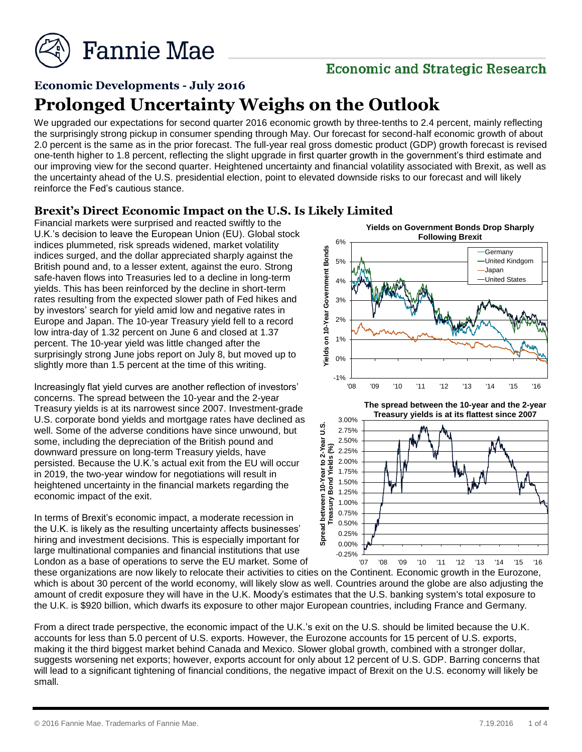

## **Economic and Strategic Research**

# **Economic Developments - July 2016 Prolonged Uncertainty Weighs on the Outlook**

We upgraded our expectations for second quarter 2016 economic growth by three-tenths to 2.4 percent, mainly reflecting the surprisingly strong pickup in consumer spending through May. Our forecast for second-half economic growth of about 2.0 percent is the same as in the prior forecast. The full-year real gross domestic product (GDP) growth forecast is revised one-tenth higher to 1.8 percent, reflecting the slight upgrade in first quarter growth in the government's third estimate and our improving view for the second quarter. Heightened uncertainty and financial volatility associated with Brexit, as well as the uncertainty ahead of the U.S. presidential election, point to elevated downside risks to our forecast and will likely reinforce the Fed's cautious stance.

#### **Brexit's Direct Economic Impact on the U.S. Is Likely Limited**

Financial markets were surprised and reacted swiftly to the U.K.'s decision to leave the European Union (EU). Global stock indices plummeted, risk spreads widened, market volatility indices surged, and the dollar appreciated sharply against the British pound and, to a lesser extent, against the euro. Strong safe-haven flows into Treasuries led to a decline in long-term yields. This has been reinforced by the decline in short-term rates resulting from the expected slower path of Fed hikes and by investors' search for yield amid low and negative rates in Europe and Japan. The 10-year Treasury yield fell to a record low intra-day of 1.32 percent on June 6 and closed at 1.37 percent. The 10-year yield was little changed after the surprisingly strong June jobs report on July 8, but moved up to slightly more than 1.5 percent at the time of this writing.

Increasingly flat yield curves are another reflection of investors' concerns. The spread between the 10-year and the 2-year Treasury yields is at its narrowest since 2007. Investment-grade U.S. corporate bond yields and mortgage rates have declined as well. Some of the adverse conditions have since unwound, but some, including the depreciation of the British pound and downward pressure on long-term Treasury yields, have persisted. Because the U.K.'s actual exit from the EU will occur in 2019, the two-year window for negotiations will result in heightened uncertainty in the financial markets regarding the economic impact of the exit.

In terms of Brexit's economic impact, a moderate recession in the U.K. is likely as the resulting uncertainty affects businesses' hiring and investment decisions. This is especially important for large multinational companies and financial institutions that use London as a base of operations to serve the EU market. Some of



these organizations are now likely to relocate their activities to cities on the Continent. Economic growth in the Eurozone, which is about 30 percent of the world economy, will likely slow as well. Countries around the globe are also adjusting the

amount of credit exposure they will have in the U.K. Moody's estimates that the U.S. banking system's total exposure to the U.K. is \$920 billion, which dwarfs its exposure to other major European countries, including France and Germany.

From a direct trade perspective, the economic impact of the U.K.'s exit on the U.S. should be limited because the U.K. accounts for less than 5.0 percent of U.S. exports. However, the Eurozone accounts for 15 percent of U.S. exports, making it the third biggest market behind Canada and Mexico. Slower global growth, combined with a stronger dollar, suggests worsening net exports; however, exports account for only about 12 percent of U.S. GDP. Barring concerns that will lead to a significant tightening of financial conditions, the negative impact of Brexit on the U.S. economy will likely be small.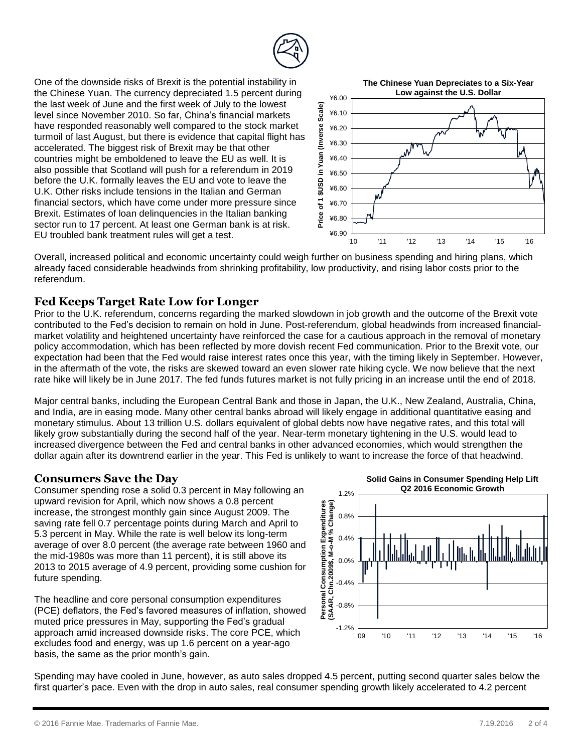

One of the downside risks of Brexit is the potential instability in the Chinese Yuan. The currency depreciated 1.5 percent during the last week of June and the first week of July to the lowest level since November 2010. So far, China's financial markets have responded reasonably well compared to the stock market turmoil of last August, but there is evidence that capital flight has accelerated. The biggest risk of Brexit may be that other countries might be emboldened to leave the EU as well. It is also possible that Scotland will push for a referendum in 2019 before the U.K. formally leaves the EU and vote to leave the U.K. Other risks include tensions in the Italian and German financial sectors, which have come under more pressure since Brexit. Estimates of loan delinquencies in the Italian banking sector run to 17 percent. At least one German bank is at risk. EU troubled bank treatment rules will get a test.



Overall, increased political and economic uncertainty could weigh further on business spending and hiring plans, which already faced considerable headwinds from shrinking profitability, low productivity, and rising labor costs prior to the referendum.

#### **Fed Keeps Target Rate Low for Longer**

Prior to the U.K. referendum, concerns regarding the marked slowdown in job growth and the outcome of the Brexit vote contributed to the Fed's decision to remain on hold in June. Post-referendum, global headwinds from increased financialmarket volatility and heightened uncertainty have reinforced the case for a cautious approach in the removal of monetary policy accommodation, which has been reflected by more dovish recent Fed communication. Prior to the Brexit vote, our expectation had been that the Fed would raise interest rates once this year, with the timing likely in September. However, in the aftermath of the vote, the risks are skewed toward an even slower rate hiking cycle. We now believe that the next rate hike will likely be in June 2017. The fed funds futures market is not fully pricing in an increase until the end of 2018.

Major central banks, including the European Central Bank and those in Japan, the U.K., New Zealand, Australia, China, and India, are in easing mode. Many other central banks abroad will likely engage in additional quantitative easing and monetary stimulus. About 13 trillion U.S. dollars equivalent of global debts now have negative rates, and this total will likely grow substantially during the second half of the year. Near-term monetary tightening in the U.S. would lead to increased divergence between the Fed and central banks in other advanced economies, which would strengthen the dollar again after its downtrend earlier in the year. This Fed is unlikely to want to increase the force of that headwind.

#### **Consumers Save the Day**

Consumer spending rose a solid 0.3 percent in May following an upward revision for April, which now shows a 0.8 percent increase, the strongest monthly gain since August 2009. The saving rate fell 0.7 percentage points during March and April to 5.3 percent in May. While the rate is well below its long-term average of over 8.0 percent (the average rate between 1960 and the mid-1980s was more than 11 percent), it is still above its 2013 to 2015 average of 4.9 percent, providing some cushion for future spending.

The headline and core personal consumption expenditures (PCE) deflators, the Fed's favored measures of inflation, showed muted price pressures in May, supporting the Fed's gradual approach amid increased downside risks. The core PCE, which excludes food and energy, was up 1.6 percent on a year-ago basis, the same as the prior month's gain.



Spending may have cooled in June, however, as auto sales dropped 4.5 percent, putting second quarter sales below the first quarter's pace. Even with the drop in auto sales, real consumer spending growth likely accelerated to 4.2 percent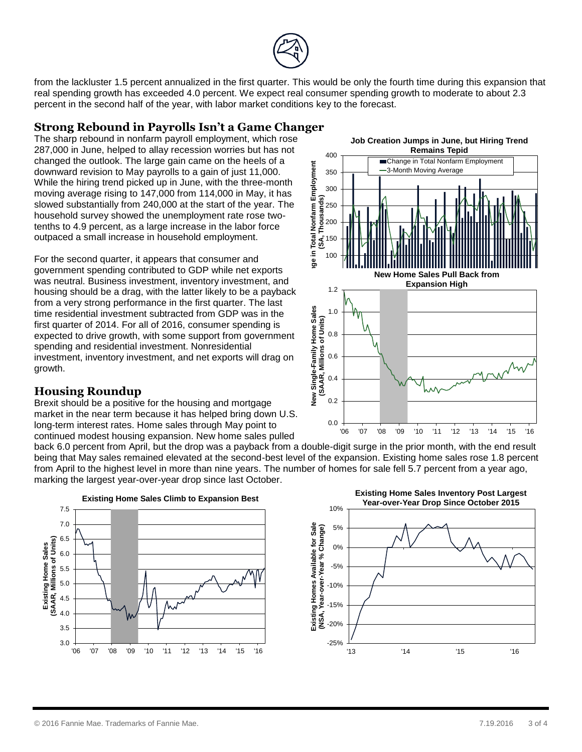

from the lackluster 1.5 percent annualized in the first quarter. This would be only the fourth time during this expansion that real spending growth has exceeded 4.0 percent. We expect real consumer spending growth to moderate to about 2.3 percent in the second half of the year, with labor market conditions key to the forecast.

400

### **Strong Rebound in Payrolls Isn't a Game Changer**

The sharp rebound in nonfarm payroll employment, which rose 287,000 in June, helped to allay recession worries but has not changed the outlook. The large gain came on the heels of a downward revision to May payrolls to a gain of just 11,000. While the hiring trend picked up in June, with the three-month moving average rising to 147,000 from 114,000 in May, it has slowed substantially from 240,000 at the start of the year. The household survey showed the unemployment rate rose twotenths to 4.9 percent, as a large increase in the labor force outpaced a small increase in household employment.

For the second quarter, it appears that consumer and government spending contributed to GDP while net exports was neutral. Business investment, inventory investment, and housing should be a drag, with the latter likely to be a payback from a very strong performance in the first quarter. The last time residential investment subtracted from GDP was in the first quarter of 2014. For all of 2016, consumer spending is expected to drive growth, with some support from government spending and residential investment. Nonresidential investment, inventory investment, and net exports will drag on growth.

### **Housing Roundup**

Brexit should be a positive for the housing and mortgage market in the near term because it has helped bring down U.S. long-term interest rates. Home sales through May point to continued modest housing expansion. New home sales pulled

back 6.0 percent from April, but the drop was a payback from a double-digit surge in the prior month, with the end result being that May sales remained elevated at the second-best level of the expansion. Existing home sales rose 1.8 percent from April to the highest level in more than nine years. The number of homes for sale fell 5.7 percent from a year ago, marking the largest year-over-year drop since last October.





**Job Creation Jumps in June, but Hiring Trend Remains Tepid**



© 2016 Fannie Mae. Trademarks of Fannie Mae. 7.19.2016 3 of 4